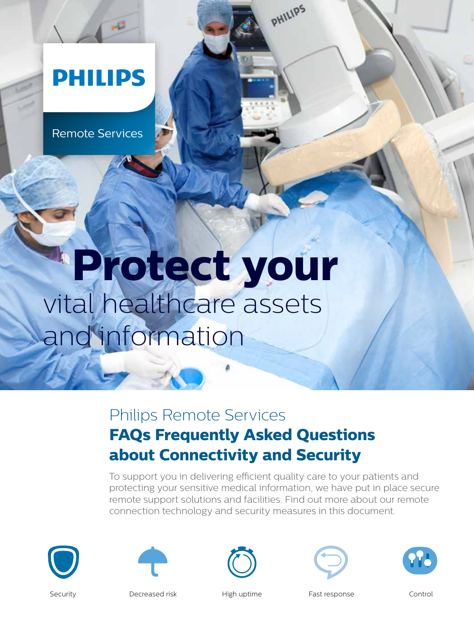## **PHILIPS**

Remote Services

**Contract Contract Contract** 

# **Protect your** vital healthcare assets and information

### Philips Remote Services **FAQs Frequently Asked Questions about Connectivity and Security**

To support you in delivering efficient quality care to your patients and protecting your sensitive medical information, we have put in place secure remote support solutions and facilities. Find out more about our remote connection technology and security measures in this document.

PHILIPS











Security **Security** Decreased risk High uptime Fast response Control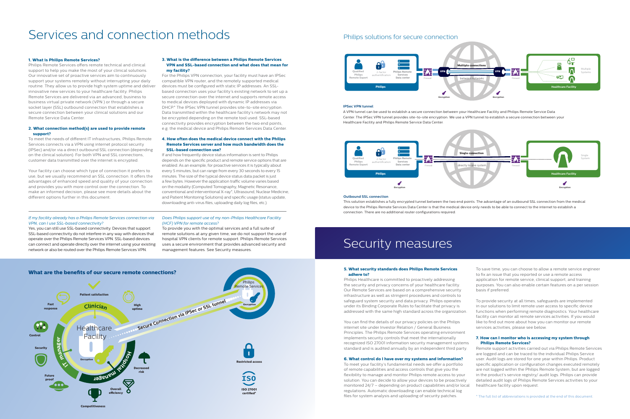#### **1. What is Philips Remote Services?**

Philips Remote Services offers remote technical and clinical support to help you make the most of your clinical solutions. Our innovative set of proactive services aim to continuously support your systems remotely without interrupting your daily routine. They allow us to provide high system uptime and deliver innovative new services to your healthcare facility. Philips Remote Services are delivered via an advanced, business to business virtual private network (VPN ) or through a secure socket layer (SSL) outbound connection that establishes a secure connection between your clinical solutions and our Remote Service Data Center.

#### **2. What connection method(s) are used to provide remote support?**

To meet the needs of different IT infrastructures, Philips Remote Services connects via a VPN using internet protocol security (IPSec) and/or via a direct outbound SSL connection (depending on the clinical solution). For both VPN and SSL connections, customer data transmitted over the internet is encrypted.

Your facility can choose which type of connection it prefers to use, but we usually recommend an SSL connection. It offers the advantages of enhanced speed and quality of your connection and provides you with more control over the connection. To make an informed decision, please see more details about the different options further in this document.

#### **3. What is the difference between a Philips Remote Services VPN and SSL-based connection and what does that mean for my facility?**

For the Philips VPN connection, your facility must have an IPSec compatible VPN router, and the remotely supported medical devices must be configured with static IP addresses. An SSLbased connection uses your facility's existing network to set up a secure connection over the internet and supports remote access to medical devices deployed with dynamic IP addresses via DHCP.\* The IPSec VPN tunnel provides site-to-site encryption. Data transmitted within the healthcare facility's network may not be encrypted depending on the remote tool used. SSL-based connectivity provides encryption between the two end points, e.g. the medical device and Philips Remote Services Data Center.

#### **4. How often does the medical device connect with the Philips Remote Services server and how much bandwidth does the SSL-based connection use?**

If and how frequently device status information is sent to Philips depends on the specific product and remote service options that are enabled. As an example, for proactive services it is typically about every 5 minutes, but can range from every 30 seconds to every 15 minutes. The size of the typical device status data packet is just a few bytes. However the application traffic volume varies based on the modality (Computed Tomography, Magnetic Resonance, conventional and interventional X-ray\*, Ultrasound, Nuclear Medicine, and Patient Monitoring Solutions) and specific usage (status update, downloading anti-virus files, uploading daily log files, etc.).

#### **5. What security standards does Philips Remote Services adhere to?**

Philips Healthcare is committed to proactively addressing the security and privacy concerns of your healthcare facility. Our Remote Services are based on a comprehensive security infrastructure as well as stringent procedures and controls to safeguard system security and data privacy. Philips operates under its Binding Corporate Rules to facilitate that privacy is addressed with the same high standard across the organization.

You can find the details of our privacy policies on the Philips internet site under Investor Relation / General Business Principles. The Philips Remote Services operating environment implements security controls that meet the internationally recognized ISO 27001 information security management systems standard and is audited annually by an independent third party.

#### **6. What control do I have over my systems and information?**

To meet your facility's fundamental needs we offer a portfolio of remote capabilities and access controls that give you the flexibility to manage and monitor Philips remote access to your solution. You can decide to allow your devices to be proactively monitored 24/7 – depending on product capabilities and/or local regulations. Automatic downloading can enable technical log files for system analysis and uploading of security patches.

To save time, you can choose to allow a remote service engineer to fix an issue that you reported or use a remote access application for remote service, clinical support, and training purposes. You can also enable certain features on a per session basis if preferred.

To provide security at all times, safeguards are implemented in our solutions to limit remote user access to specific device functions when performing remote diagnostics. Your healthcare facility can monitor all remote services activities. If you would like to find out more about how you can monitor our remote services activities, please see below.

#### **7. How can I monitor who is accessing my system through Philips Remote Services?**

Remote support activities carried out via Philips Remote Services are logged and can be traced to the individual Philips Service user. Audit logs are stored for one year within Philips. Product specific application or configuration changes executed remotely are not logged within the Philips Remote System, but are logged in the product's service registry/ audit logs. Philips can provide detailed audit logs of Philips Remote Services activities to your healthcare facility upon request.

\* The full list of abbreviations is provided at the end of this document.

#### **Outbound SSL connection**

This solution establishes a fully encrypted tunnel between the two end points. The advantage of an outbound SSL connection from the medical device to the Philips Remote Services Data Center is that the medical device only needs to be able to connect to the internet to establish a connection. There are no additional router configurations required.

### Security measures



### Services and connection methods





**Health Care Facility** A VPN tunnel can be used to establish a secure connection between your Healthcare Facility and Philips Remote Service Data Center. The IPSec VPN tunnel provides site-to-site encryption. We use a VPN tunnel to establish a secure connection between your Healthcare Facility and Philips Remote Service Data Center.

#### **IPSec VPN tunnel**

#### *If my facility already has a Philips Remote Services connection via VPN, can I use SSL-based connectivity?*

Yes, you can still use SSL-based connectivity. Devices that support SSL-based connectivity do not interfere in any way with devices that operate over the Philips Remote Services VPN. SSL-based devices can connect and operate directly over the internet using your existing network or also be routed over the Philips Remote Services VPN.

#### *Does Philips support use of my non-Philips Healthcare Facility (HCF) VPN for remote access?*

To provide you with the optimal services and a full suite of remote solutions at any given time, we do not support the use of hospital VPN clients for remote support. Philips Remote Services uses a secure environment that provides advanced security and management features. See Security measures.

#### Philips solutions for secure connection